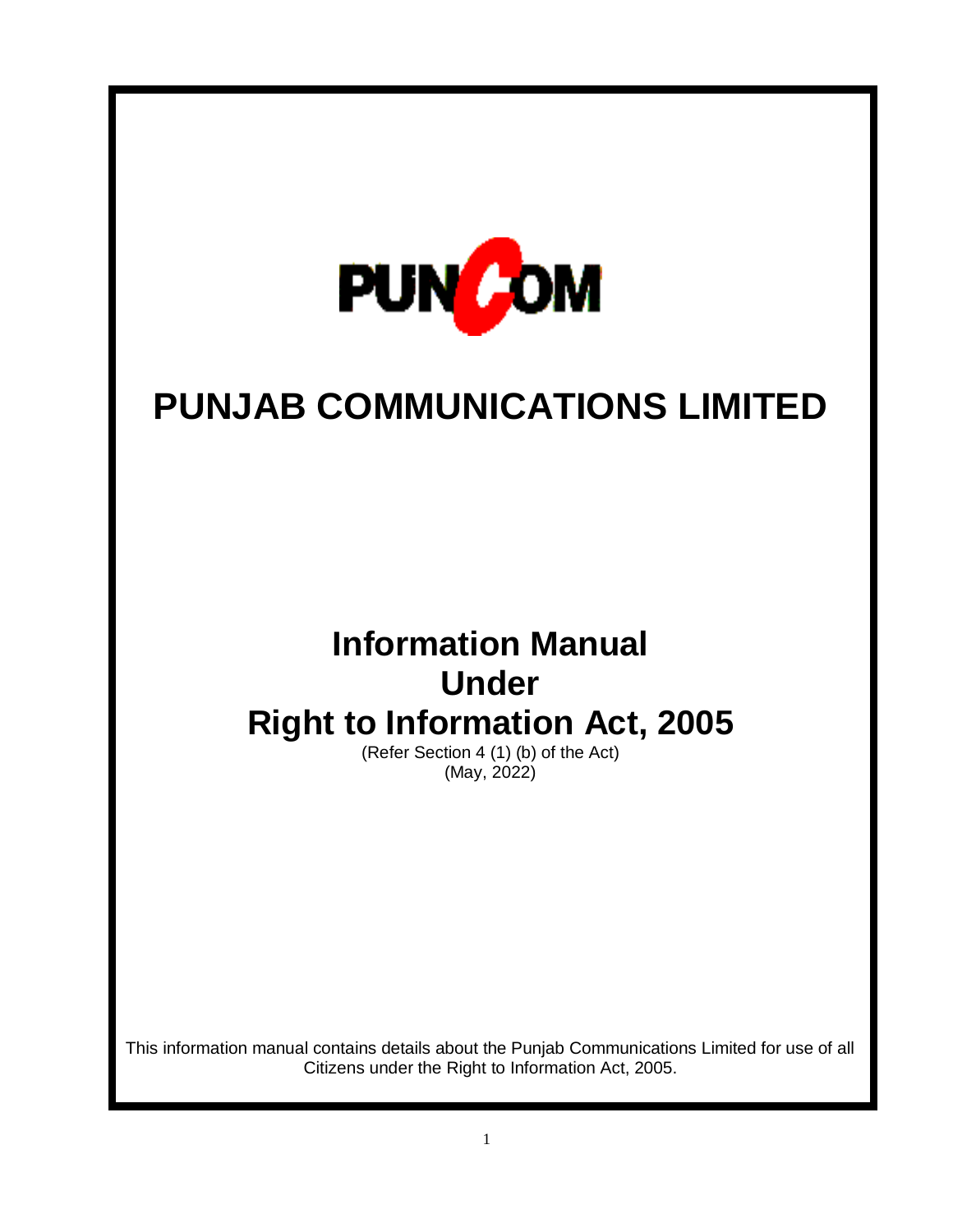

# **PUNJAB COMMUNICATIONS LIMITED**

## **Information Manual Under Right to Information Act, 2005**

(Refer Section 4 (1) (b) of the Act)  $(May, 2022)$ 

This information manual contains details about the Punjab Communications Limited for use of all Citizens under the Right to Information Act, 2005.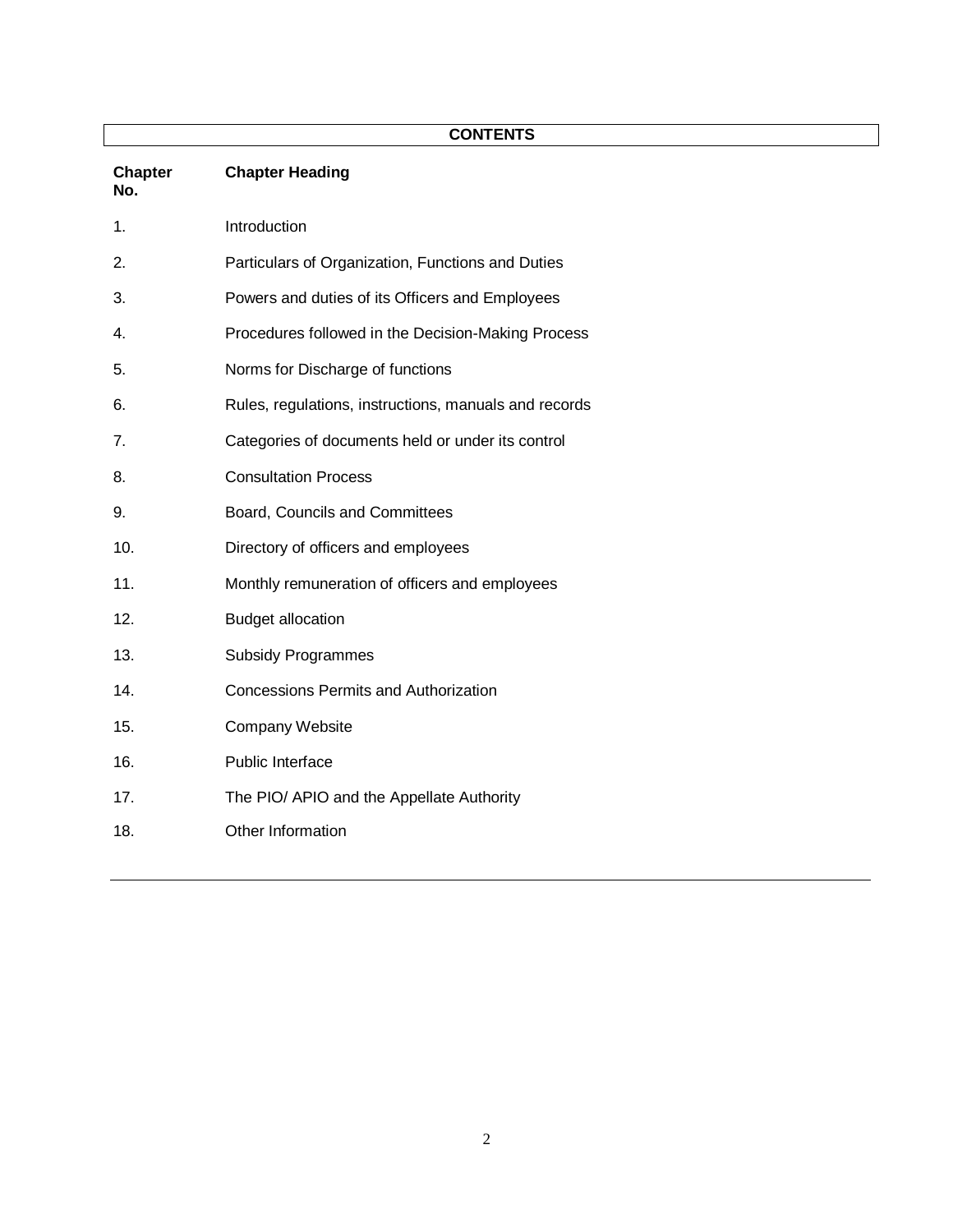|                       | <b>CONTENTS</b>                                       |
|-----------------------|-------------------------------------------------------|
| <b>Chapter</b><br>No. | <b>Chapter Heading</b>                                |
| 1.                    | Introduction                                          |
| 2.                    | Particulars of Organization, Functions and Duties     |
| 3.                    | Powers and duties of its Officers and Employees       |
| 4.                    | Procedures followed in the Decision-Making Process    |
| 5.                    | Norms for Discharge of functions                      |
| 6.                    | Rules, regulations, instructions, manuals and records |
| 7.                    | Categories of documents held or under its control     |
| 8.                    | <b>Consultation Process</b>                           |
| 9.                    | Board, Councils and Committees                        |
| 10.                   | Directory of officers and employees                   |
| 11.                   | Monthly remuneration of officers and employees        |
| 12.                   | <b>Budget allocation</b>                              |
| 13.                   | <b>Subsidy Programmes</b>                             |
| 14.                   | <b>Concessions Permits and Authorization</b>          |
| 15.                   | Company Website                                       |
| 16.                   | Public Interface                                      |
| 17.                   | The PIO/ APIO and the Appellate Authority             |
| 18.                   | Other Information                                     |
|                       |                                                       |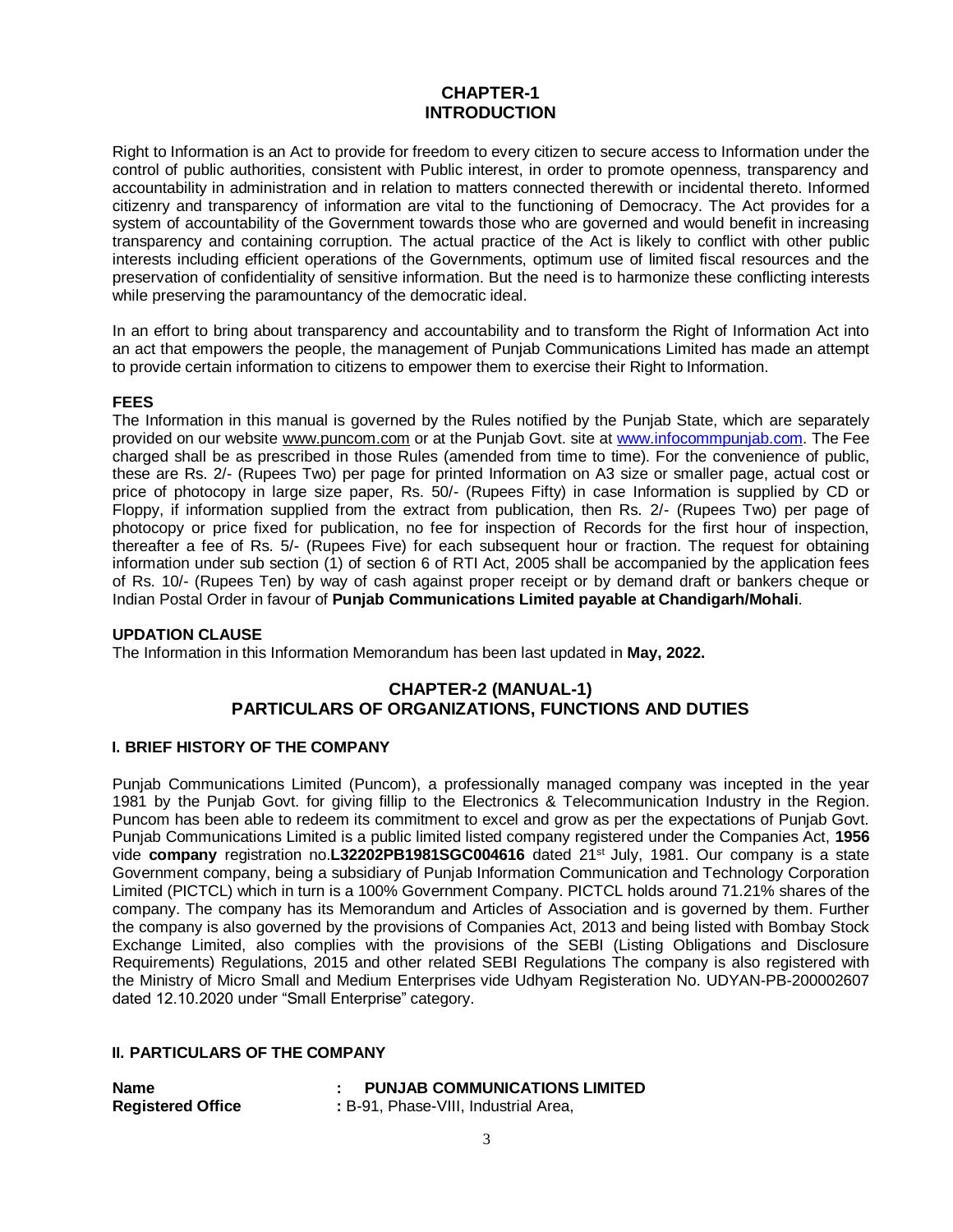## **CHAPTER-1 INTRODUCTION**

Right to Information is an Act to provide for freedom to every citizen to secure access to Information under the control of public authorities, consistent with Public interest, in order to promote openness, transparency and accountability in administration and in relation to matters connected therewith or incidental thereto. Informed citizenry and transparency of information are vital to the functioning of Democracy. The Act provides for a system of accountability of the Government towards those who are governed and would benefit in increasing transparency and containing corruption. The actual practice of the Act is likely to conflict with other public interests including efficient operations of the Governments, optimum use of limited fiscal resources and the preservation of confidentiality of sensitive information. But the need is to harmonize these conflicting interests while preserving the paramountancy of the democratic ideal.

In an effort to bring about transparency and accountability and to transform the Right of Information Act into an act that empowers the people, the management of Punjab Communications Limited has made an attempt to provide certain information to citizens to empower them to exercise their Right to Information.

#### **FEES**

The Information in this manual is governed by the Rules notified by the Punjab State, which are separately provided on our website [www.puncom.com](http://www.puncom.com/) or at the Punjab Govt. site at [www.infocommpunjab.com. T](http://www.infocommpunjab.com/)he Fee charged shall be as prescribed in those Rules (amended from time to time). For the convenience of public, these are Rs. 2/- (Rupees Two) per page for printed Information on A3 size or smaller page, actual cost or price of photocopy in large size paper, Rs. 50/- (Rupees Fifty) in case Information is supplied by CD or Floppy, if information supplied from the extract from publication, then Rs. 2/- (Rupees Two) per page of photocopy or price fixed for publication, no fee for inspection of Records for the first hour of inspection, thereafter a fee of Rs. 5/- (Rupees Five) for each subsequent hour or fraction. The request for obtaining information under sub section (1) of section 6 of RTI Act, 2005 shall be accompanied by the application fees of Rs. 10/- (Rupees Ten) by way of cash against proper receipt or by demand draft or bankers cheque or Indian Postal Order in favour of **Punjab Communications Limited payable at Chandigarh/Mohali**.

#### **UPDATION CLAUSE**

The Information in this Information Memorandum has been last updated in **May, 2022.**

## **CHAPTER-2 (MANUAL-1) PARTICULARS OF ORGANIZATIONS, FUNCTIONS AND DUTIES**

#### **I. BRIEF HISTORY OF THE COMPANY**

Punjab Communications Limited (Puncom), a professionally managed company was incepted in the year 1981 by the Punjab Govt. for giving fillip to the Electronics & Telecommunication Industry in the Region. Puncom has been able to redeem its commitment to excel and grow as per the expectations of Punjab Govt. Punjab Communications Limited is a public limited listed company registered under the Companies Act, **1956**  vide **company** registration no.**L32202PB1981SGC004616** dated 21st July, 1981. Our company is a state Government company, being a subsidiary of Punjab Information Communication and Technology Corporation Limited (PICTCL) which in turn is a 100% Government Company. PICTCL holds around 71.21% shares of the company. The company has its Memorandum and Articles of Association and is governed by them. Further the company is also governed by the provisions of Companies Act, 2013 and being listed with Bombay Stock Exchange Limited, also complies with the provisions of the SEBI (Listing Obligations and Disclosure Requirements) Regulations, 2015 and other related SEBI Regulations The company is also registered with the Ministry of Micro Small and Medium Enterprises vide Udhyam Registeration No. UDYAN-PB-200002607 dated 12.10.2020 under "Small Enterprise" category.

## **II. PARTICULARS OF THE COMPANY**

**Rame Example 2 Communications**<br>**Registered Office Example 2 Communications 2 Communications**<br>**EXAMPLE 2 Communications Registered Office :** B-91, Phase-VIII, Industrial Area,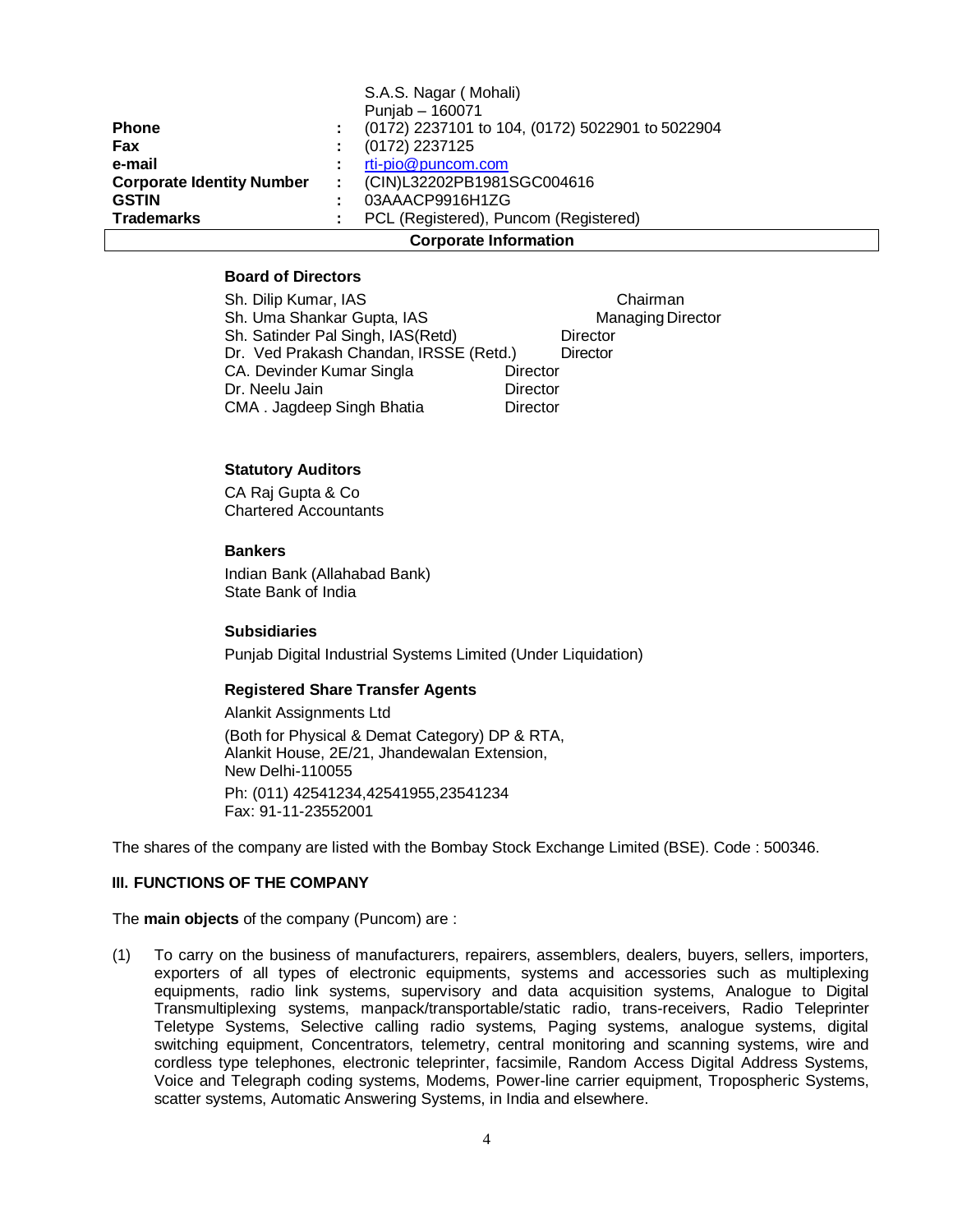|                                  | S.A.S. Nagar (Mohali)                            |
|----------------------------------|--------------------------------------------------|
|                                  | Punjab - 160071                                  |
| <b>Phone</b>                     | (0172) 2237101 to 104, (0172) 5022901 to 5022904 |
| <b>Fax</b>                       | (0172) 2237125                                   |
| e-mail                           | rti-pio@puncom.com                               |
| <b>Corporate Identity Number</b> | (CIN)L32202PB1981SGC004616                       |
| <b>GSTIN</b>                     | 03AAACP9916H1ZG                                  |
| <b>Trademarks</b>                | PCL (Registered), Puncom (Registered)            |
|                                  | <b>Corporate Information</b>                     |

#### **Board of Directors**

| Sh. Dilip Kumar, IAS                   | Chairman                 |
|----------------------------------------|--------------------------|
| Sh. Uma Shankar Gupta, IAS             | <b>Managing Director</b> |
| Sh. Satinder Pal Singh, IAS(Retd)      | Director                 |
| Dr. Ved Prakash Chandan, IRSSE (Retd.) | Director                 |
| CA. Devinder Kumar Singla<br>Director  |                          |
| Dr. Neelu Jain<br>Director             |                          |
| CMA. Jagdeep Singh Bhatia<br>Director  |                          |

#### **Statutory Auditors**

CA Raj Gupta & Co Chartered Accountants

#### **Bankers**

Indian Bank (Allahabad Bank) State Bank of India

#### **Subsidiaries**

Punjab Digital Industrial Systems Limited (Under Liquidation)

#### **Registered Share Transfer Agents**

Alankit Assignments Ltd (Both for Physical & Demat Category) DP & RTA, Alankit House, 2E/21, Jhandewalan Extension, New Delhi-110055 Ph: (011) 42541234,42541955,23541234 Fax: 91-11-23552001

The shares of the company are listed with the Bombay Stock Exchange Limited (BSE). Code : 500346.

#### **III. FUNCTIONS OF THE COMPANY**

The **main objects** of the company (Puncom) are :

(1) To carry on the business of manufacturers, repairers, assemblers, dealers, buyers, sellers, importers, exporters of all types of electronic equipments, systems and accessories such as multiplexing equipments, radio link systems, supervisory and data acquisition systems, Analogue to Digital Transmultiplexing systems, manpack/transportable/static radio, trans-receivers, Radio Teleprinter Teletype Systems, Selective calling radio systems, Paging systems, analogue systems, digital switching equipment, Concentrators, telemetry, central monitoring and scanning systems, wire and cordless type telephones, electronic teleprinter, facsimile, Random Access Digital Address Systems, Voice and Telegraph coding systems, Modems, Power-line carrier equipment, Tropospheric Systems, scatter systems, Automatic Answering Systems, in India and elsewhere.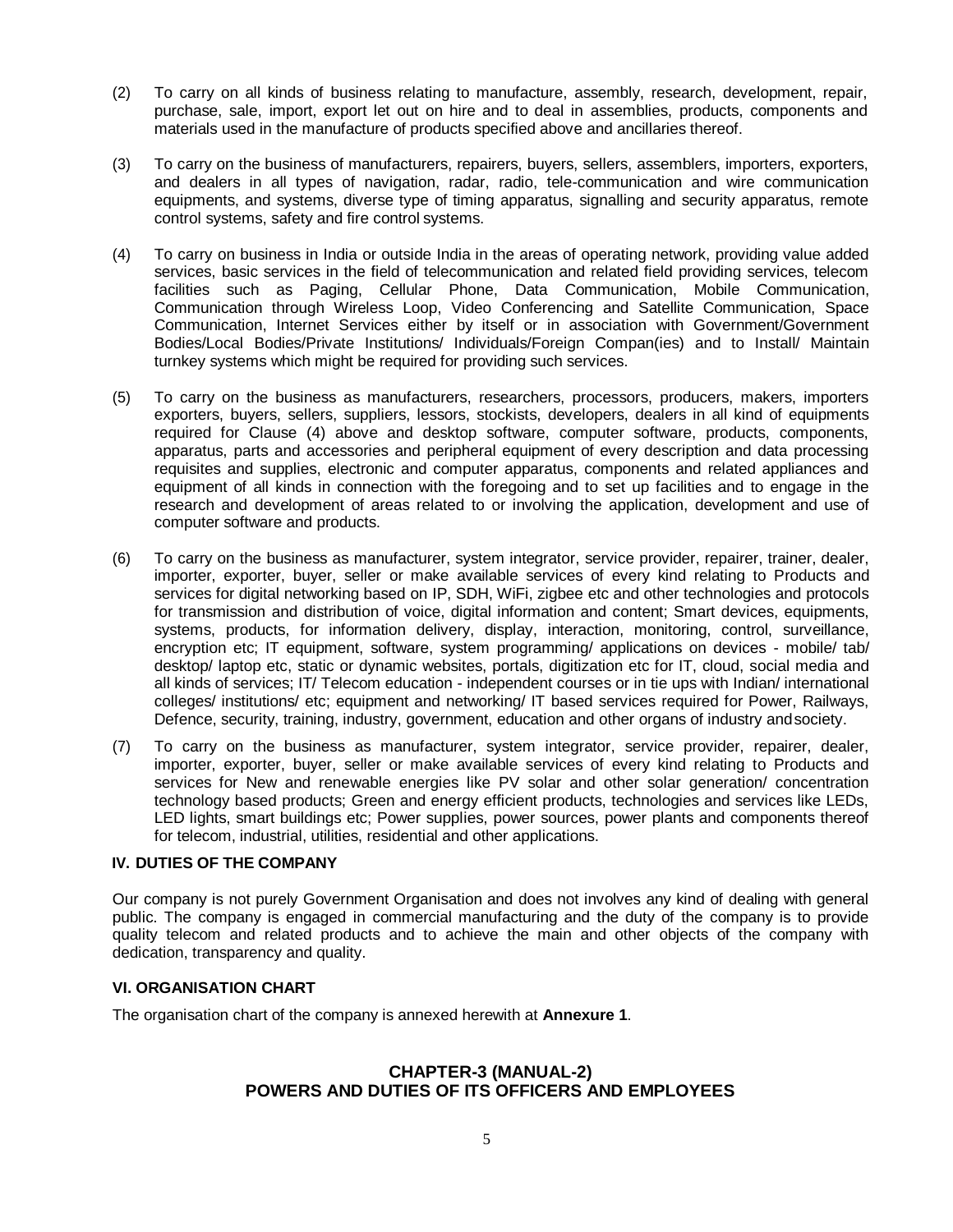- (2) To carry on all kinds of business relating to manufacture, assembly, research, development, repair, purchase, sale, import, export let out on hire and to deal in assemblies, products, components and materials used in the manufacture of products specified above and ancillaries thereof.
- (3) To carry on the business of manufacturers, repairers, buyers, sellers, assemblers, importers, exporters, and dealers in all types of navigation, radar, radio, tele-communication and wire communication equipments, and systems, diverse type of timing apparatus, signalling and security apparatus, remote control systems, safety and fire control systems.
- (4) To carry on business in India or outside India in the areas of operating network, providing value added services, basic services in the field of telecommunication and related field providing services, telecom facilities such as Paging, Cellular Phone, Data Communication, Mobile Communication, Communication through Wireless Loop, Video Conferencing and Satellite Communication, Space Communication, Internet Services either by itself or in association with Government/Government Bodies/Local Bodies/Private Institutions/ Individuals/Foreign Compan(ies) and to Install/ Maintain turnkey systems which might be required for providing such services.
- (5) To carry on the business as manufacturers, researchers, processors, producers, makers, importers exporters, buyers, sellers, suppliers, lessors, stockists, developers, dealers in all kind of equipments required for Clause (4) above and desktop software, computer software, products, components, apparatus, parts and accessories and peripheral equipment of every description and data processing requisites and supplies, electronic and computer apparatus, components and related appliances and equipment of all kinds in connection with the foregoing and to set up facilities and to engage in the research and development of areas related to or involving the application, development and use of computer software and products.
- (6) To carry on the business as manufacturer, system integrator, service provider, repairer, trainer, dealer, importer, exporter, buyer, seller or make available services of every kind relating to Products and services for digital networking based on IP, SDH, WiFi, zigbee etc and other technologies and protocols for transmission and distribution of voice, digital information and content; Smart devices, equipments, systems, products, for information delivery, display, interaction, monitoring, control, surveillance, encryption etc; IT equipment, software, system programming/ applications on devices - mobile/ tab/ desktop/ laptop etc, static or dynamic websites, portals, digitization etc for IT, cloud, social media and all kinds of services; IT/ Telecom education - independent courses or in tie ups with Indian/ international colleges/ institutions/ etc; equipment and networking/ IT based services required for Power, Railways, Defence, security, training, industry, government, education and other organs of industry andsociety.
- (7) To carry on the business as manufacturer, system integrator, service provider, repairer, dealer, importer, exporter, buyer, seller or make available services of every kind relating to Products and services for New and renewable energies like PV solar and other solar generation/ concentration technology based products; Green and energy efficient products, technologies and services like LEDs, LED lights, smart buildings etc; Power supplies, power sources, power plants and components thereof for telecom, industrial, utilities, residential and other applications.

#### **IV. DUTIES OF THE COMPANY**

Our company is not purely Government Organisation and does not involves any kind of dealing with general public. The company is engaged in commercial manufacturing and the duty of the company is to provide quality telecom and related products and to achieve the main and other objects of the company with dedication, transparency and quality.

#### **VI. ORGANISATION CHART**

The organisation chart of the company is annexed herewith at **Annexure 1**.

## **CHAPTER-3 (MANUAL-2) POWERS AND DUTIES OF ITS OFFICERS AND EMPLOYEES**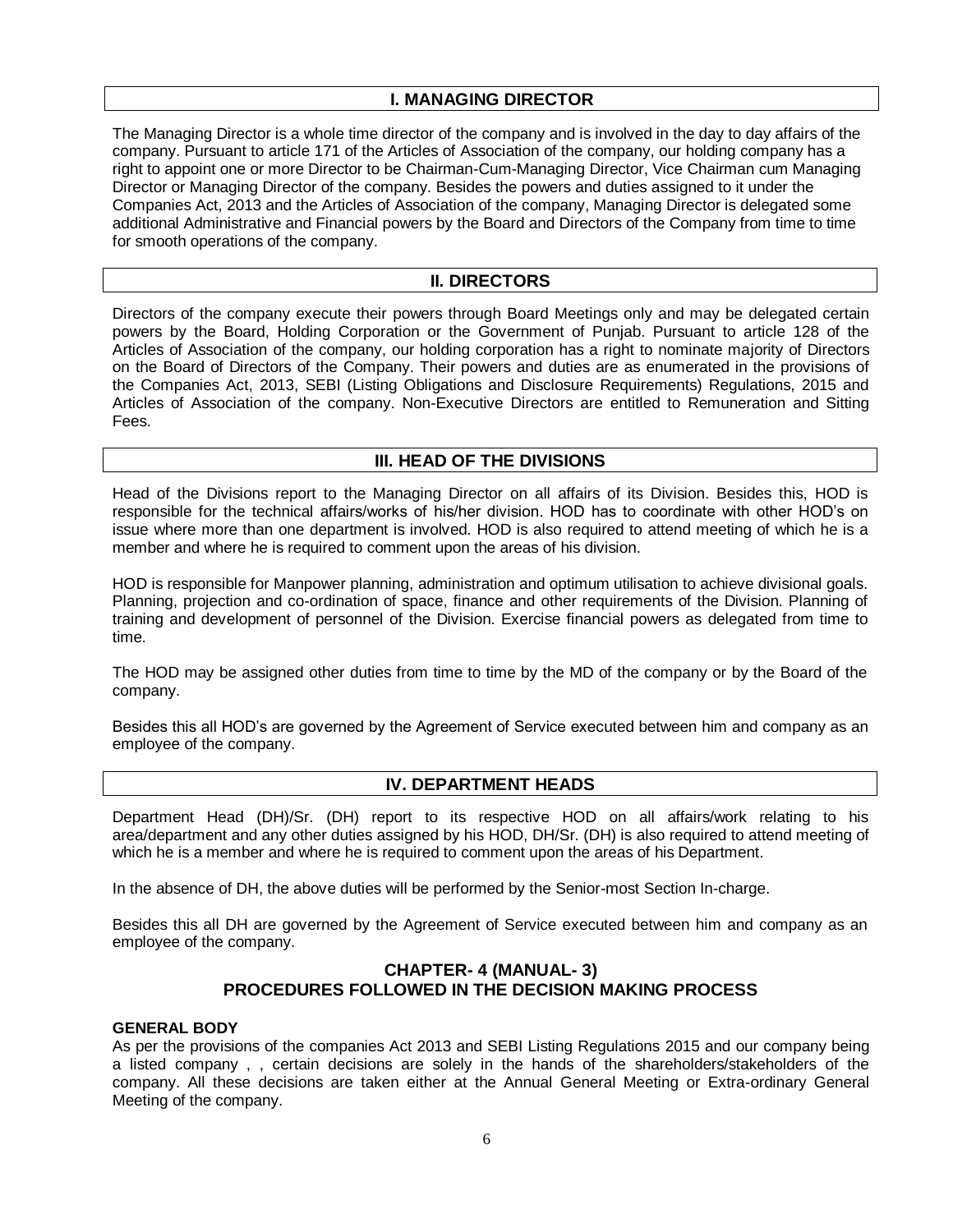## **I. MANAGING DIRECTOR**

The Managing Director is a whole time director of the company and is involved in the day to day affairs of the company. Pursuant to article 171 of the Articles of Association of the company, our holding company has a right to appoint one or more Director to be Chairman-Cum-Managing Director, Vice Chairman cum Managing Director or Managing Director of the company. Besides the powers and duties assigned to it under the Companies Act, 2013 and the Articles of Association of the company, Managing Director is delegated some additional Administrative and Financial powers by the Board and Directors of the Company from time to time for smooth operations of the company.

## **II. DIRECTORS**

Directors of the company execute their powers through Board Meetings only and may be delegated certain powers by the Board, Holding Corporation or the Government of Punjab. Pursuant to article 128 of the Articles of Association of the company, our holding corporation has a right to nominate majority of Directors on the Board of Directors of the Company. Their powers and duties are as enumerated in the provisions of the Companies Act, 2013, SEBI (Listing Obligations and Disclosure Requirements) Regulations, 2015 and Articles of Association of the company. Non-Executive Directors are entitled to Remuneration and Sitting Fees.

## **III. HEAD OF THE DIVISIONS**

Head of the Divisions report to the Managing Director on all affairs of its Division. Besides this, HOD is responsible for the technical affairs/works of his/her division. HOD has to coordinate with other HOD's on issue where more than one department is involved. HOD is also required to attend meeting of which he is a member and where he is required to comment upon the areas of his division.

HOD is responsible for Manpower planning, administration and optimum utilisation to achieve divisional goals. Planning, projection and co-ordination of space, finance and other requirements of the Division. Planning of training and development of personnel of the Division. Exercise financial powers as delegated from time to time.

The HOD may be assigned other duties from time to time by the MD of the company or by the Board of the company.

Besides this all HOD's are governed by the Agreement of Service executed between him and company as an employee of the company.

## **IV. DEPARTMENT HEADS**

Department Head (DH)/Sr. (DH) report to its respective HOD on all affairs/work relating to his area/department and any other duties assigned by his HOD, DH/Sr. (DH) is also required to attend meeting of which he is a member and where he is required to comment upon the areas of his Department.

In the absence of DH, the above duties will be performed by the Senior-most Section In-charge.

Besides this all DH are governed by the Agreement of Service executed between him and company as an employee of the company.

## **CHAPTER- 4 (MANUAL- 3) PROCEDURES FOLLOWED IN THE DECISION MAKING PROCESS**

#### **GENERAL BODY**

As per the provisions of the companies Act 2013 and SEBI Listing Regulations 2015 and our company being a listed company , , certain decisions are solely in the hands of the shareholders/stakeholders of the company. All these decisions are taken either at the Annual General Meeting or Extra-ordinary General Meeting of the company.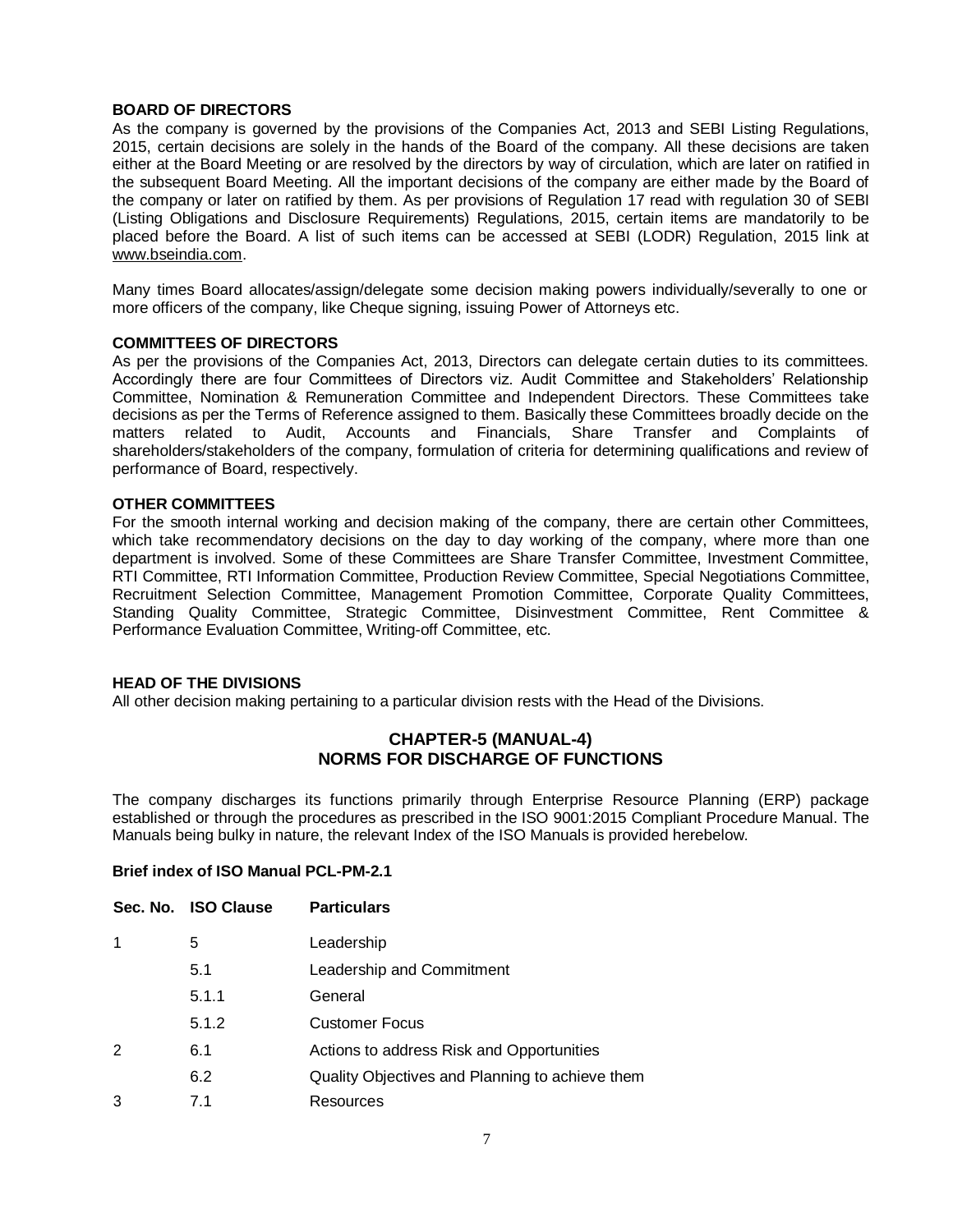#### **BOARD OF DIRECTORS**

As the company is governed by the provisions of the Companies Act, 2013 and SEBI Listing Regulations, 2015, certain decisions are solely in the hands of the Board of the company. All these decisions are taken either at the Board Meeting or are resolved by the directors by way of circulation, which are later on ratified in the subsequent Board Meeting. All the important decisions of the company are either made by the Board of the company or later on ratified by them. As per provisions of Regulation 17 read with regulation 30 of SEBI (Listing Obligations and Disclosure Requirements) Regulations, 2015, certain items are mandatorily to be placed before the Board. A list of such items can be accessed at SEBI (LODR) Regulation, 2015 link at [www.bseindia.com.](http://www.bseindia.com/)

Many times Board allocates/assign/delegate some decision making powers individually/severally to one or more officers of the company, like Cheque signing, issuing Power of Attorneys etc.

#### **COMMITTEES OF DIRECTORS**

As per the provisions of the Companies Act, 2013, Directors can delegate certain duties to its committees. Accordingly there are four Committees of Directors viz. Audit Committee and Stakeholders' Relationship Committee, Nomination & Remuneration Committee and Independent Directors. These Committees take decisions as per the Terms of Reference assigned to them. Basically these Committees broadly decide on the matters related to Audit, Accounts and Financials, Share Transfer and Complaints of shareholders/stakeholders of the company, formulation of criteria for determining qualifications and review of performance of Board, respectively.

#### **OTHER COMMITTEES**

For the smooth internal working and decision making of the company, there are certain other Committees, which take recommendatory decisions on the day to day working of the company, where more than one department is involved. Some of these Committees are Share Transfer Committee, Investment Committee, RTI Committee, RTI Information Committee, Production Review Committee, Special Negotiations Committee, Recruitment Selection Committee, Management Promotion Committee, Corporate Quality Committees, Standing Quality Committee, Strategic Committee, Disinvestment Committee, Rent Committee & Performance Evaluation Committee, Writing-off Committee, etc.

#### **HEAD OF THE DIVISIONS**

All other decision making pertaining to a particular division rests with the Head of the Divisions.

## **CHAPTER-5 (MANUAL-4) NORMS FOR DISCHARGE OF FUNCTIONS**

The company discharges its functions primarily through Enterprise Resource Planning (ERP) package established or through the procedures as prescribed in the ISO 9001:2015 Compliant Procedure Manual. The Manuals being bulky in nature, the relevant Index of the ISO Manuals is provided herebelow.

#### **Brief index of ISO Manual PCL-PM-2.1**

|   | Sec. No. ISO Clause | <b>Particulars</b>                              |
|---|---------------------|-------------------------------------------------|
|   | 5                   | Leadership                                      |
|   | 5.1                 | Leadership and Commitment                       |
|   | 5.1.1               | General                                         |
|   | 5.1.2               | <b>Customer Focus</b>                           |
| 2 | 6.1                 | Actions to address Risk and Opportunities       |
|   | 6.2                 | Quality Objectives and Planning to achieve them |
| 3 | 7.1                 | Resources                                       |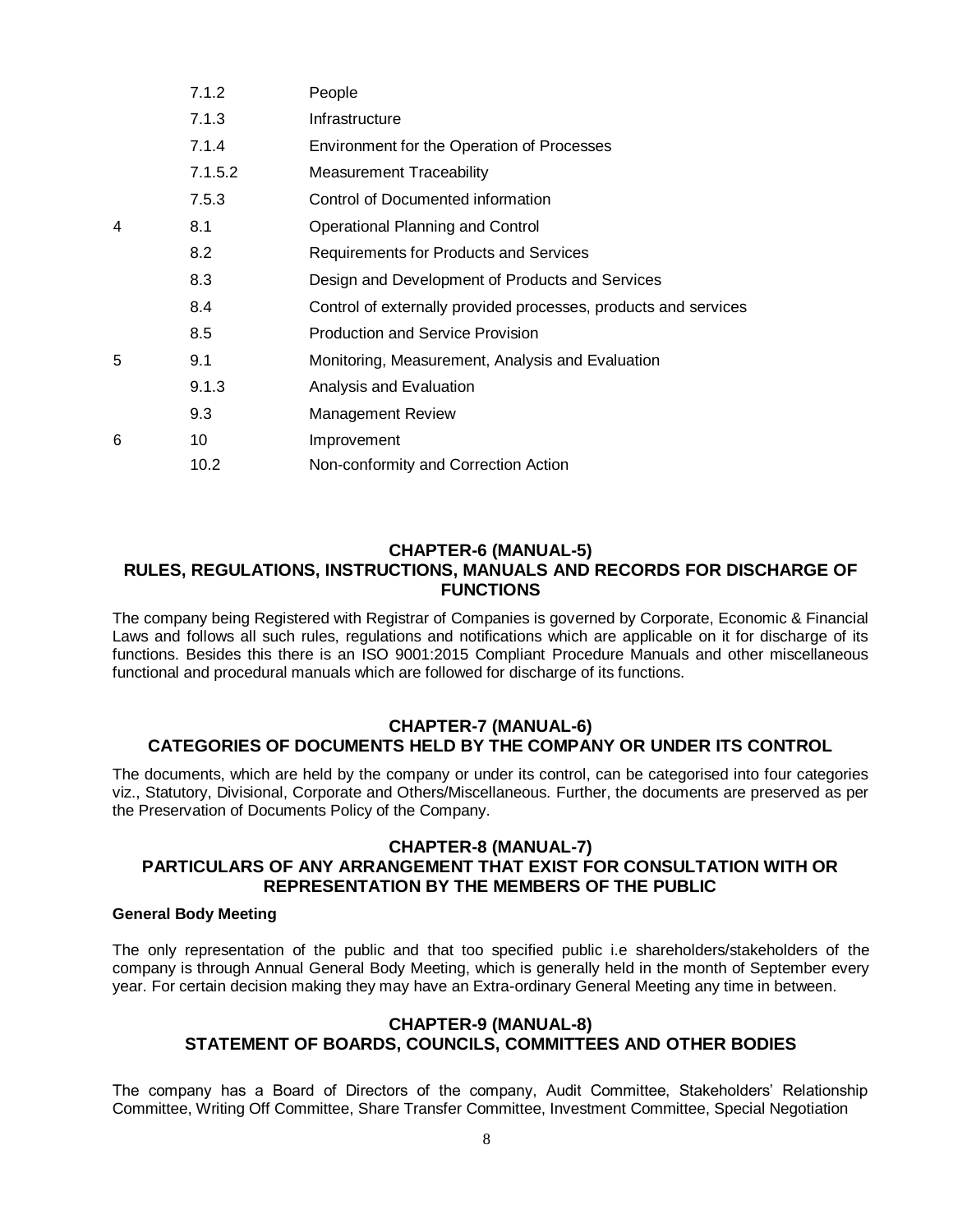|   | 7.1.2   | People                                                          |
|---|---------|-----------------------------------------------------------------|
|   | 7.1.3   | Infrastructure                                                  |
|   | 7.1.4   | Environment for the Operation of Processes                      |
|   | 7.1.5.2 | <b>Measurement Traceability</b>                                 |
|   | 7.5.3   | Control of Documented information                               |
| 4 | 8.1     | Operational Planning and Control                                |
|   | 8.2     | Requirements for Products and Services                          |
|   | 8.3     | Design and Development of Products and Services                 |
|   | 8.4     | Control of externally provided processes, products and services |
|   | 8.5     | <b>Production and Service Provision</b>                         |
| 5 | 9.1     | Monitoring, Measurement, Analysis and Evaluation                |
|   | 9.1.3   | Analysis and Evaluation                                         |
|   | 9.3     | <b>Management Review</b>                                        |
| 6 | 10      | Improvement                                                     |
|   | 10.2    | Non-conformity and Correction Action                            |

## **CHAPTER-6 (MANUAL-5) RULES, REGULATIONS, INSTRUCTIONS, MANUALS AND RECORDS FOR DISCHARGE OF FUNCTIONS**

The company being Registered with Registrar of Companies is governed by Corporate, Economic & Financial Laws and follows all such rules, regulations and notifications which are applicable on it for discharge of its functions. Besides this there is an ISO 9001:2015 Compliant Procedure Manuals and other miscellaneous functional and procedural manuals which are followed for discharge of its functions.

## **CHAPTER-7 (MANUAL-6) CATEGORIES OF DOCUMENTS HELD BY THE COMPANY OR UNDER ITS CONTROL**

The documents, which are held by the company or under its control, can be categorised into four categories viz., Statutory, Divisional, Corporate and Others/Miscellaneous. Further, the documents are preserved as per the Preservation of Documents Policy of the Company.

## **CHAPTER-8 (MANUAL-7) PARTICULARS OF ANY ARRANGEMENT THAT EXIST FOR CONSULTATION WITH OR REPRESENTATION BY THE MEMBERS OF THE PUBLIC**

#### **General Body Meeting**

The only representation of the public and that too specified public i.e shareholders/stakeholders of the company is through Annual General Body Meeting, which is generally held in the month of September every year. For certain decision making they may have an Extra-ordinary General Meeting any time in between.

## **CHAPTER-9 (MANUAL-8) STATEMENT OF BOARDS, COUNCILS, COMMITTEES AND OTHER BODIES**

The company has a Board of Directors of the company, Audit Committee, Stakeholders' Relationship Committee, Writing Off Committee, Share Transfer Committee, Investment Committee, Special Negotiation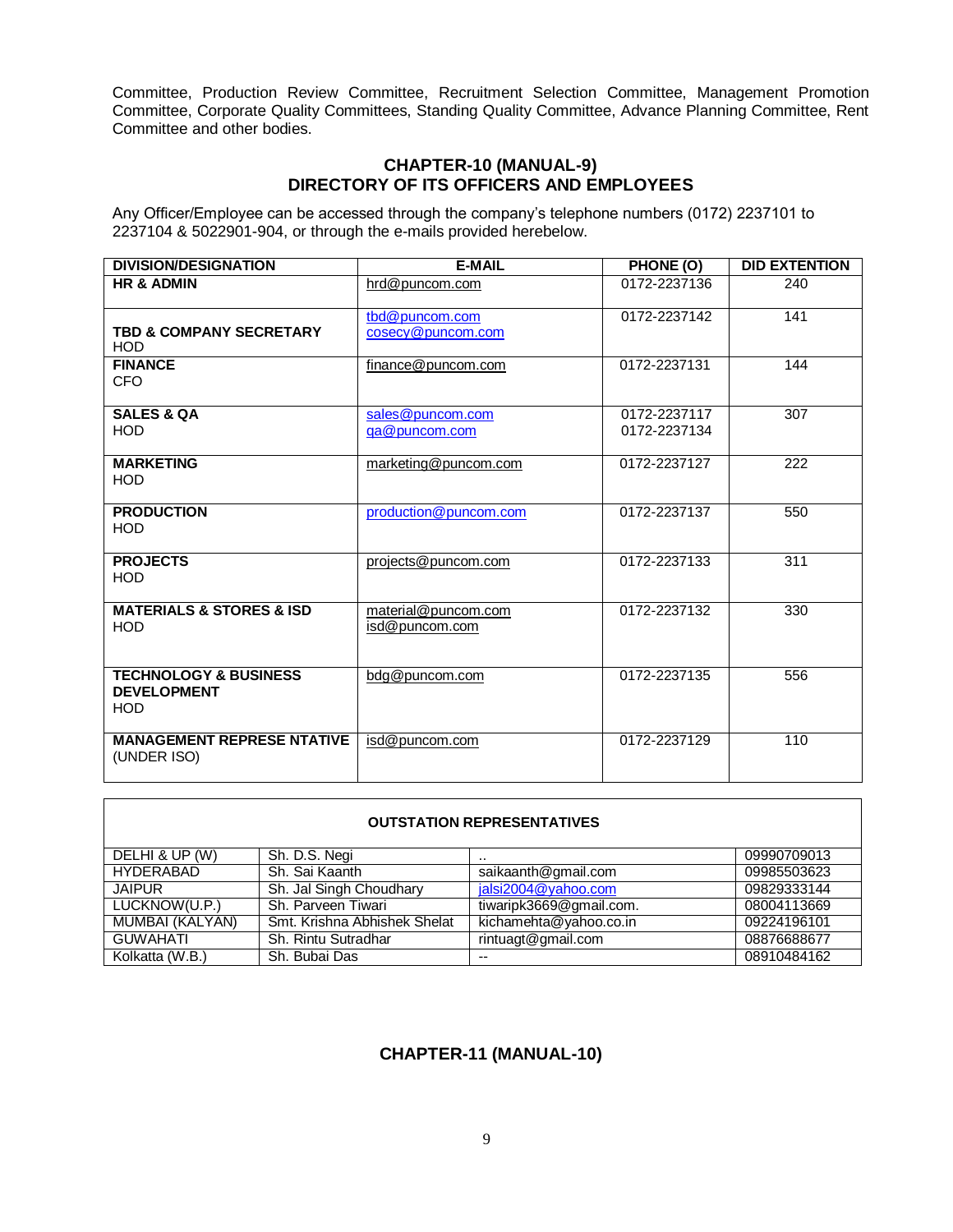Committee, Production Review Committee, Recruitment Selection Committee, Management Promotion Committee, Corporate Quality Committees, Standing Quality Committee, Advance Planning Committee, Rent Committee and other bodies.

## **CHAPTER-10 (MANUAL-9) DIRECTORY OF ITS OFFICERS AND EMPLOYEES**

Any Officer/Employee can be accessed through the company's telephone numbers (0172) 2237101 to 2237104 & 5022901-904, or through the e-mails provided herebelow.

| <b>DIVISION/DESIGNATION</b>                            | <b>E-MAIL</b>         | PHONE (O)    | <b>DID EXTENTION</b> |
|--------------------------------------------------------|-----------------------|--------------|----------------------|
| <b>HR &amp; ADMIN</b>                                  | hrd@puncom.com        | 0172-2237136 | 240                  |
| <b>TBD &amp; COMPANY SECRETARY</b>                     | tbd@puncom.com        | 0172-2237142 | 141                  |
| <b>HOD</b>                                             | cosecy@puncom.com     |              |                      |
| <b>FINANCE</b><br><b>CFO</b>                           | finance@puncom.com    | 0172-2237131 | 144                  |
|                                                        |                       |              |                      |
| <b>SALES &amp; QA</b>                                  | sales@puncom.com      | 0172-2237117 | 307                  |
| <b>HOD</b>                                             | ga@puncom.com         | 0172-2237134 |                      |
| <b>MARKETING</b>                                       | marketing@puncom.com  | 0172-2237127 | 222                  |
| <b>HOD</b>                                             |                       |              |                      |
| <b>PRODUCTION</b>                                      | production@puncom.com | 0172-2237137 | 550                  |
| <b>HOD</b>                                             |                       |              |                      |
| <b>PROJECTS</b>                                        | projects@puncom.com   | 0172-2237133 | 311                  |
| <b>HOD</b>                                             |                       |              |                      |
| <b>MATERIALS &amp; STORES &amp; ISD</b>                | material@puncom.com   | 0172-2237132 | 330                  |
| <b>HOD</b>                                             | isd@puncom.com        |              |                      |
|                                                        |                       |              |                      |
| <b>TECHNOLOGY &amp; BUSINESS</b><br><b>DEVELOPMENT</b> | bdg@puncom.com        | 0172-2237135 | 556                  |
| <b>HOD</b>                                             |                       |              |                      |
| <b>MANAGEMENT REPRESE NTATIVE</b>                      | isd@puncom.com        | 0172-2237129 | 110                  |
| (UNDER ISO)                                            |                       |              |                      |

| <b>OUTSTATION REPRESENTATIVES</b> |                              |                         |             |  |  |
|-----------------------------------|------------------------------|-------------------------|-------------|--|--|
| DELHI & UP (W)                    | Sh. D.S. Negi                |                         | 09990709013 |  |  |
| <b>HYDERABAD</b>                  | Sh. Sai Kaanth               | saikaanth@gmail.com     | 09985503623 |  |  |
| <b>JAIPUR</b>                     | Sh. Jal Singh Choudhary      | jalsi2004@yahoo.com     | 09829333144 |  |  |
| LUCKNOW(U.P.)                     | Sh. Parveen Tiwari           | tiwaripk3669@gmail.com. | 08004113669 |  |  |
| MUMBAI (KALYAN)                   | Smt. Krishna Abhishek Shelat | kichamehta@yahoo.co.in  | 09224196101 |  |  |
| <b>GUWAHATI</b>                   | Sh. Rintu Sutradhar          | rintuagt@gmail.com      | 08876688677 |  |  |
| Kolkatta (W.B.)                   | Sh. Bubai Das                | --                      | 08910484162 |  |  |

## **CHAPTER-11 (MANUAL-10)**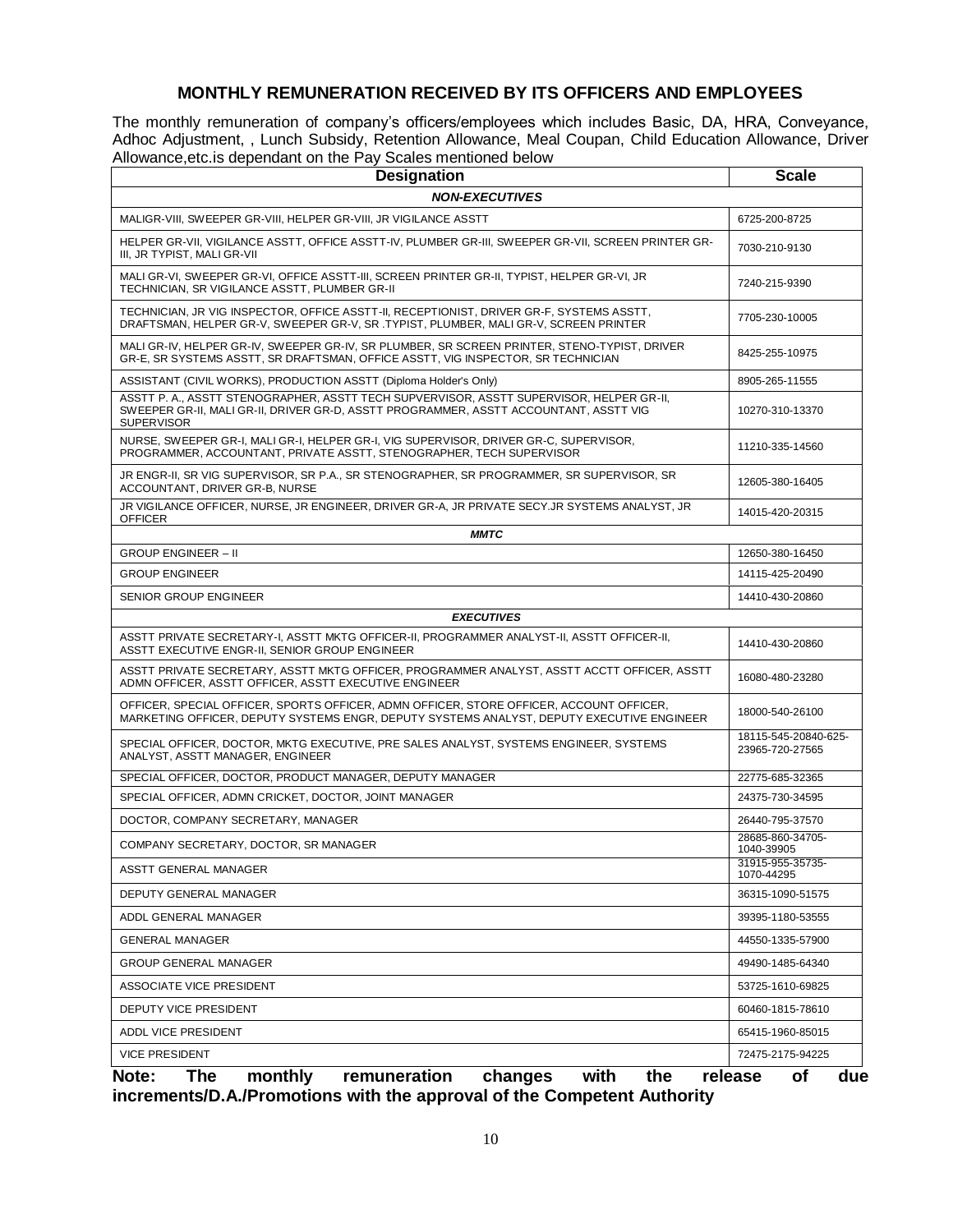## **MONTHLY REMUNERATION RECEIVED BY ITS OFFICERS AND EMPLOYEES**

The monthly remuneration of company's officers/employees which includes Basic, DA, HRA, Conveyance, Adhoc Adjustment, , Lunch Subsidy, Retention Allowance, Meal Coupan, Child Education Allowance, Driver Allowance,etc.is dependant on the Pay Scales mentioned below

| <b>Designation</b>                                                                                                                                                                                     | <b>Scale</b>                            |  |  |  |
|--------------------------------------------------------------------------------------------------------------------------------------------------------------------------------------------------------|-----------------------------------------|--|--|--|
| <b>NON-EXECUTIVES</b>                                                                                                                                                                                  |                                         |  |  |  |
| MALIGR-VIII, SWEEPER GR-VIII, HELPER GR-VIII, JR VIGILANCE ASSTT                                                                                                                                       | 6725-200-8725                           |  |  |  |
| HELPER GR-VII, VIGILANCE ASSTT, OFFICE ASSTT-IV, PLUMBER GR-III, SWEEPER GR-VII, SCREEN PRINTER GR-<br>III, JR TYPIST, MALI GR-VII                                                                     | 7030-210-9130                           |  |  |  |
| MALI GR-VI, SWEEPER GR-VI, OFFICE ASSTT-III, SCREEN PRINTER GR-II, TYPIST, HELPER GR-VI, JR<br>TECHNICIAN, SR VIGILANCE ASSTT, PLUMBER GR-II                                                           | 7240-215-9390                           |  |  |  |
| TECHNICIAN, JR VIG INSPECTOR, OFFICE ASSTT-II, RECEPTIONIST, DRIVER GR-F, SYSTEMS ASSTT,<br>DRAFTSMAN, HELPER GR-V, SWEEPER GR-V, SR TYPIST, PLUMBER, MALI GR-V, SCREEN PRINTER                        | 7705-230-10005                          |  |  |  |
| MALI GR-IV, HELPER GR-IV, SWEEPER GR-IV, SR PLUMBER, SR SCREEN PRINTER, STENO-TYPIST, DRIVER<br>GR-E, SR SYSTEMS ASSTT, SR DRAFTSMAN, OFFICE ASSTT, VIG INSPECTOR, SR TECHNICIAN                       | 8425-255-10975                          |  |  |  |
| ASSISTANT (CIVIL WORKS), PRODUCTION ASSTT (Diploma Holder's Only)                                                                                                                                      | 8905-265-11555                          |  |  |  |
| ASSTT P. A., ASSTT STENOGRAPHER, ASSTT TECH SUPVERVISOR, ASSTT SUPERVISOR, HELPER GR-II,<br>SWEEPER GR-II, MALI GR-II, DRIVER GR-D, ASSTT PROGRAMMER, ASSTT ACCOUNTANT, ASSTT VIG<br><b>SUPERVISOR</b> | 10270-310-13370                         |  |  |  |
| NURSE, SWEEPER GR-I, MALI GR-I, HELPER GR-I, VIG SUPERVISOR, DRIVER GR-C, SUPERVISOR,<br>PROGRAMMER, ACCOUNTANT, PRIVATE ASSTT, STENOGRAPHER, TECH SUPERVISOR                                          | 11210-335-14560                         |  |  |  |
| JR ENGR-II, SR VIG SUPERVISOR, SR P.A., SR STENOGRAPHER, SR PROGRAMMER, SR SUPERVISOR, SR<br>ACCOUNTANT, DRIVER GR-B, NURSE                                                                            | 12605-380-16405                         |  |  |  |
| JR VIGILANCE OFFICER, NURSE, JR ENGINEER, DRIVER GR-A, JR PRIVATE SECY JR SYSTEMS ANALYST, JR<br><b>OFFICER</b>                                                                                        | 14015-420-20315                         |  |  |  |
| <b>MMTC</b>                                                                                                                                                                                            |                                         |  |  |  |
| <b>GROUP ENGINEER - II</b>                                                                                                                                                                             | 12650-380-16450                         |  |  |  |
| <b>GROUP ENGINEER</b>                                                                                                                                                                                  | 14115-425-20490                         |  |  |  |
| <b>SENIOR GROUP ENGINEER</b>                                                                                                                                                                           | 14410-430-20860                         |  |  |  |
| <b>EXECUTIVES</b>                                                                                                                                                                                      |                                         |  |  |  |
| ASSTT PRIVATE SECRETARY-I, ASSTT MKTG OFFICER-II, PROGRAMMER ANALYST-II, ASSTT OFFICER-II,<br>ASSTT EXECUTIVE ENGR-II, SENIOR GROUP ENGINEER                                                           | 14410-430-20860                         |  |  |  |
| ASSTT PRIVATE SECRETARY, ASSTT MKTG OFFICER, PROGRAMMER ANALYST, ASSTT ACCTT OFFICER, ASSTT<br>ADMN OFFICER, ASSTT OFFICER, ASSTT EXECUTIVE ENGINEER                                                   | 16080-480-23280                         |  |  |  |
| OFFICER, SPECIAL OFFICER, SPORTS OFFICER, ADMN OFFICER, STORE OFFICER, ACCOUNT OFFICER,<br>MARKETING OFFICER, DEPUTY SYSTEMS ENGR, DEPUTY SYSTEMS ANALYST, DEPUTY EXECUTIVE ENGINEER                   | 18000-540-26100                         |  |  |  |
| SPECIAL OFFICER, DOCTOR, MKTG EXECUTIVE, PRE SALES ANALYST, SYSTEMS ENGINEER, SYSTEMS<br>ANALYST, ASSTT MANAGER, ENGINEER                                                                              | 18115-545-20840-625-<br>23965-720-27565 |  |  |  |
| SPECIAL OFFICER, DOCTOR, PRODUCT MANAGER, DEPUTY MANAGER                                                                                                                                               | 22775-685-32365                         |  |  |  |
| SPECIAL OFFICER, ADMN CRICKET, DOCTOR, JOINT MANAGER                                                                                                                                                   | 24375-730-34595                         |  |  |  |
| DOCTOR, COMPANY SECRETARY, MANAGER                                                                                                                                                                     | 26440-795-37570                         |  |  |  |
| COMPANY SECRETARY, DOCTOR, SR MANAGER                                                                                                                                                                  | 28685-860-34705-<br>1040-39905          |  |  |  |
| ASSTT GENERAL MANAGER                                                                                                                                                                                  | 31915-955-35735-<br>1070-44295          |  |  |  |
| DEPUTY GENERAL MANAGER                                                                                                                                                                                 | 36315-1090-51575                        |  |  |  |
| ADDL GENERAL MANAGER                                                                                                                                                                                   | 39395-1180-53555                        |  |  |  |
| <b>GENERAL MANAGER</b>                                                                                                                                                                                 | 44550-1335-57900                        |  |  |  |
| <b>GROUP GENERAL MANAGER</b>                                                                                                                                                                           | 49490-1485-64340                        |  |  |  |
| ASSOCIATE VICE PRESIDENT                                                                                                                                                                               | 53725-1610-69825                        |  |  |  |
| DEPUTY VICE PRESIDENT                                                                                                                                                                                  | 60460-1815-78610                        |  |  |  |
| ADDL VICE PRESIDENT                                                                                                                                                                                    | 65415-1960-85015                        |  |  |  |
| <b>VICE PRESIDENT</b>                                                                                                                                                                                  | 72475-2175-94225                        |  |  |  |

**Note: The monthly remuneration changes with the release of due increments/D.A./Promotions with the approval of the Competent Authority**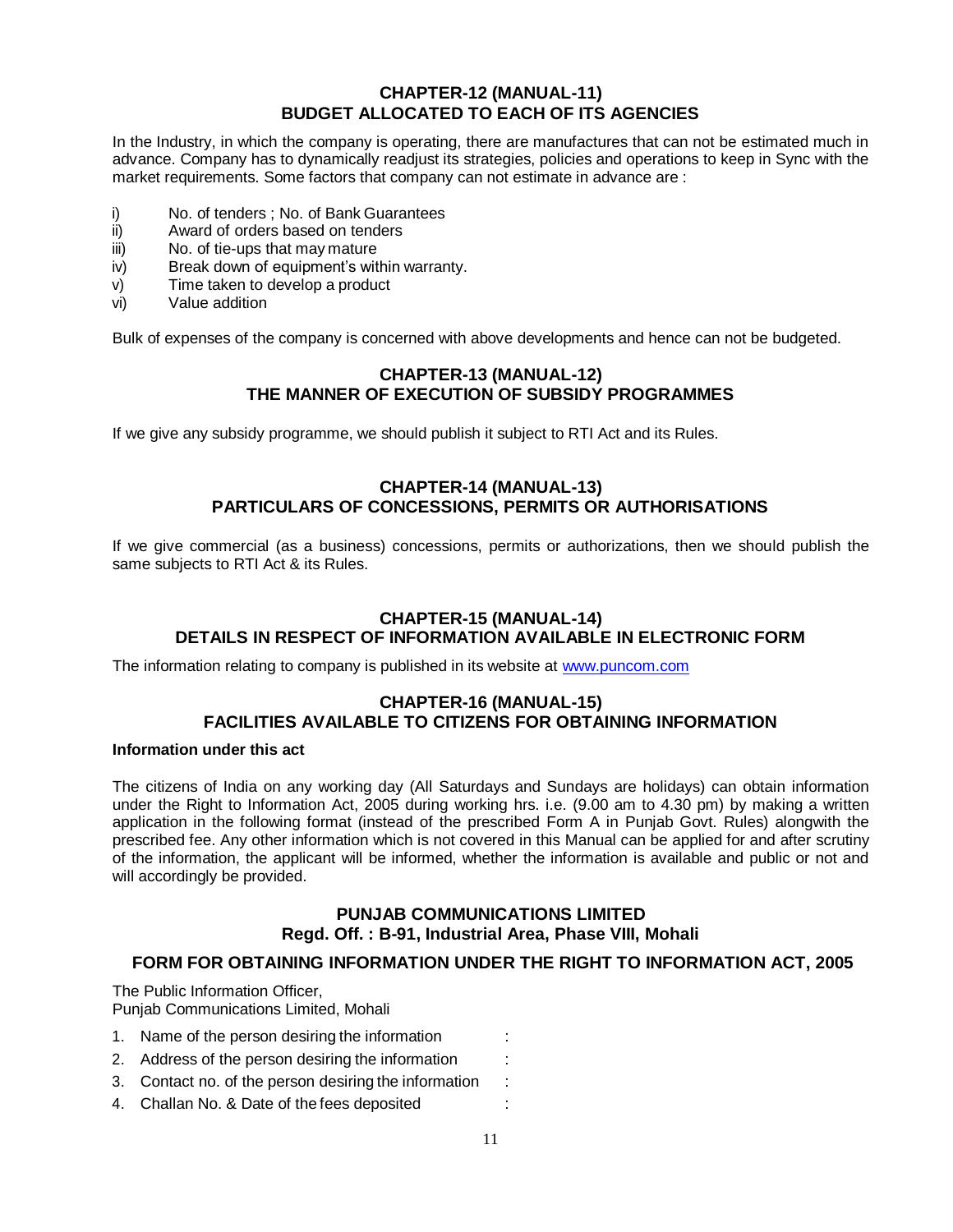## **CHAPTER-12 (MANUAL-11) BUDGET ALLOCATED TO EACH OF ITS AGENCIES**

In the Industry, in which the company is operating, there are manufactures that can not be estimated much in advance. Company has to dynamically readjust its strategies, policies and operations to keep in Sync with the market requirements. Some factors that company can not estimate in advance are :

- i) No. of tenders ; No. of Bank Guarantees
- ii) Award of orders based on tenders
- iii) No. of tie-ups that may mature
- iv) Break down of equipment's within warranty.
- v) Time taken to develop a product
- vi) Value addition

Bulk of expenses of the company is concerned with above developments and hence can not be budgeted.

## **CHAPTER-13 (MANUAL-12) THE MANNER OF EXECUTION OF SUBSIDY PROGRAMMES**

If we give any subsidy programme, we should publish it subject to RTI Act and its Rules.

## **CHAPTER-14 (MANUAL-13) PARTICULARS OF CONCESSIONS, PERMITS OR AUTHORISATIONS**

If we give commercial (as a business) concessions, permits or authorizations, then we should publish the same subjects to RTI Act & its Rules.

## **CHAPTER-15 (MANUAL-14) DETAILS IN RESPECT OF INFORMATION AVAILABLE IN ELECTRONIC FORM**

The information relating to company is published in its website at [www.puncom.com](http://www.puncom.com/)

## **CHAPTER-16 (MANUAL-15) FACILITIES AVAILABLE TO CITIZENS FOR OBTAINING INFORMATION**

#### **Information under this act**

The citizens of India on any working day (All Saturdays and Sundays are holidays) can obtain information under the Right to Information Act, 2005 during working hrs. i.e. (9.00 am to 4.30 pm) by making a written application in the following format (instead of the prescribed Form A in Punjab Govt. Rules) alongwith the prescribed fee. Any other information which is not covered in this Manual can be applied for and after scrutiny of the information, the applicant will be informed, whether the information is available and public or not and will accordingly be provided.

## **PUNJAB COMMUNICATIONS LIMITED Regd. Off. : B-91, Industrial Area, Phase VIII, Mohali**

## **FORM FOR OBTAINING INFORMATION UNDER THE RIGHT TO INFORMATION ACT, 2005**

The Public Information Officer,

Punjab Communications Limited, Mohali

- 1. Name of the person desiring the information :
- 2. Address of the person desiring the information :
- 3. Contact no. of the person desiring the information :
- 4. Challan No. & Date of the fees deposited :